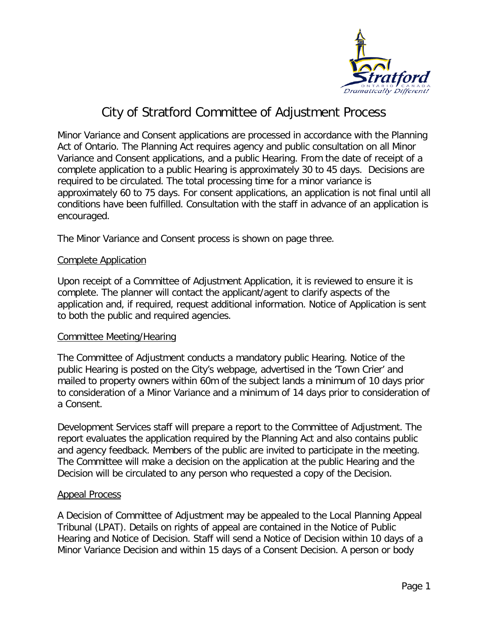

# City of Stratford Committee of Adjustment Process

Minor Variance and Consent applications are processed in accordance with the Planning Act of Ontario. The Planning Act requires agency and public consultation on all Minor Variance and Consent applications, and a public Hearing. From the date of receipt of a complete application to a public Hearing is approximately 30 to 45 days. Decisions are required to be circulated. The total processing time for a minor variance is approximately 60 to 75 days. For consent applications, an application is not final until all conditions have been fulfilled. Consultation with the staff in advance of an application is encouraged.

The Minor Variance and Consent process is shown on page three.

#### Complete Application

Upon receipt of a Committee of Adjustment Application, it is reviewed to ensure it is complete. The planner will contact the applicant/agent to clarify aspects of the application and, if required, request additional information. Notice of Application is sent to both the public and required agencies.

#### Committee Meeting/Hearing

The Committee of Adjustment conducts a mandatory public Hearing. Notice of the public Hearing is posted on the City's webpage, advertised in the 'Town Crier' and mailed to property owners within 60m of the subject lands a minimum of 10 days prior to consideration of a Minor Variance and a minimum of 14 days prior to consideration of a Consent.

Development Services staff will prepare a report to the Committee of Adjustment. The report evaluates the application required by the Planning Act and also contains public and agency feedback. Members of the public are invited to participate in the meeting. The Committee will make a decision on the application at the public Hearing and the Decision will be circulated to any person who requested a copy of the Decision.

#### Appeal Process

A Decision of Committee of Adjustment may be appealed to the Local Planning Appeal Tribunal (LPAT). Details on rights of appeal are contained in the Notice of Public Hearing and Notice of Decision. Staff will send a Notice of Decision within 10 days of a Minor Variance Decision and within 15 days of a Consent Decision. A person or body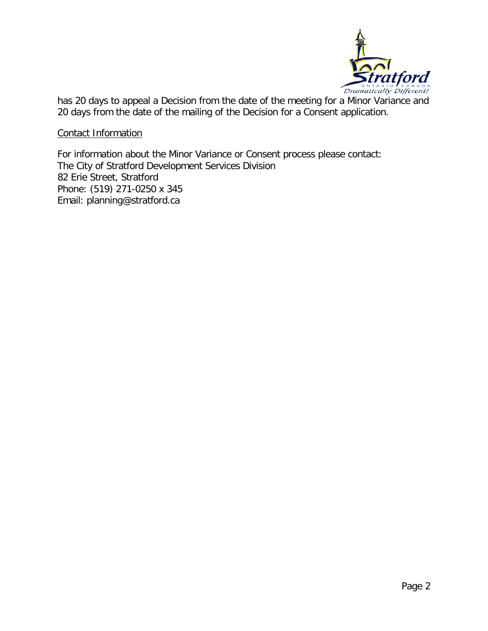

has 20 days to appeal a Decision from the date of the meeting for a Minor Variance and 20 days from the date of the mailing of the Decision for a Consent application.

Contact Information

For information about the Minor Variance or Consent process please contact: The City of Stratford Development Services Division 82 Erie Street, Stratford Phone: (519) 271-0250 x 345 Email: planning@stratford.ca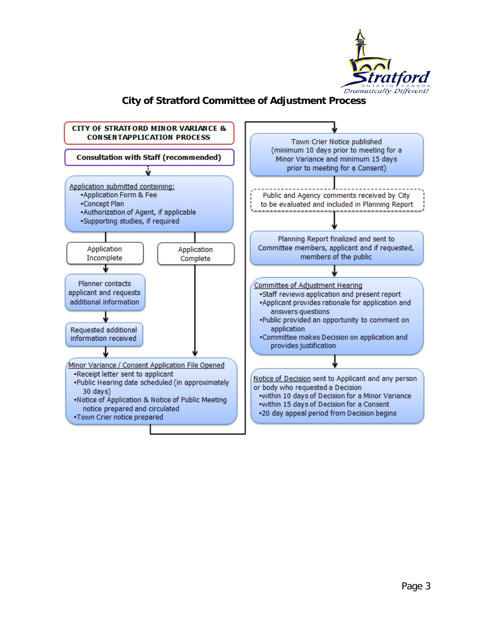

### **City of Stratford Committee of Adjustment Process**